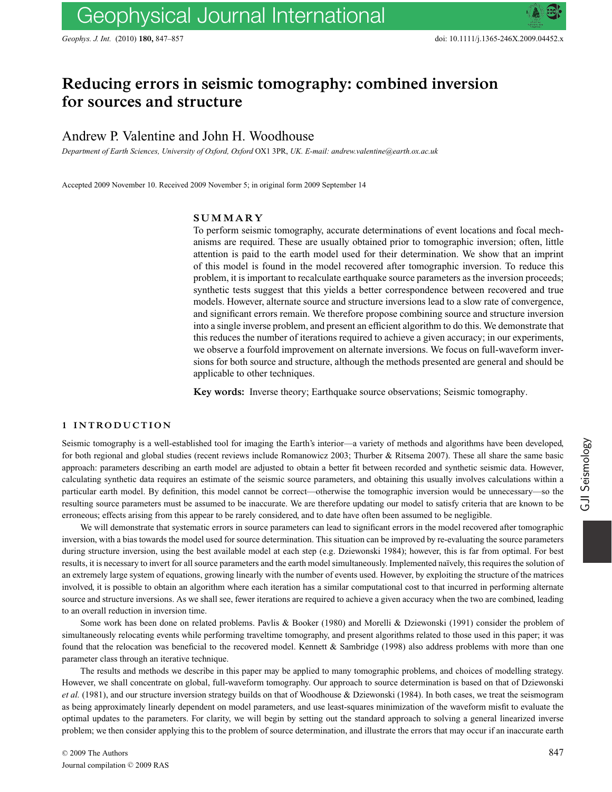# **Reducing errors in seismic tomography: combined inversion for sources and structure**

Andrew P. Valentine and John H. Woodhouse

*Department of Earth Sciences, University of Oxford, Oxford* OX1 3PR, *UK. E-mail: andrew.valentine@earth.ox.ac.uk*

Accepted 2009 November 10. Received 2009 November 5; in original form 2009 September 14

#### **SUMMARY**

To perform seismic tomography, accurate determinations of event locations and focal mechanisms are required. These are usually obtained prior to tomographic inversion; often, little attention is paid to the earth model used for their determination. We show that an imprint of this model is found in the model recovered after tomographic inversion. To reduce this problem, it is important to recalculate earthquake source parameters as the inversion proceeds; synthetic tests suggest that this yields a better correspondence between recovered and true models. However, alternate source and structure inversions lead to a slow rate of convergence, and significant errors remain. We therefore propose combining source and structure inversion into a single inverse problem, and present an efficient algorithm to do this. We demonstrate that this reduces the number of iterations required to achieve a given accuracy; in our experiments, we observe a fourfold improvement on alternate inversions. We focus on full-waveform inversions for both source and structure, although the methods presented are general and should be applicable to other techniques.

**Key words:** Inverse theory; Earthquake source observations; Seismic tomography.

# **1 INTRODUCTION**

Seismic tomography is a well-established tool for imaging the Earth's interior—a variety of methods and algorithms have been developed, for both regional and global studies (recent reviews include Romanowicz 2003; Thurber & Ritsema 2007). These all share the same basic approach: parameters describing an earth model are adjusted to obtain a better fit between recorded and synthetic seismic data. However, calculating synthetic data requires an estimate of the seismic source parameters, and obtaining this usually involves calculations within a particular earth model. By definition, this model cannot be correct—otherwise the tomographic inversion would be unnecessary—so the resulting source parameters must be assumed to be inaccurate. We are therefore updating our model to satisfy criteria that are known to be erroneous; effects arising from this appear to be rarely considered, and to date have often been assumed to be negligible.

We will demonstrate that systematic errors in source parameters can lead to significant errors in the model recovered after tomographic inversion, with a bias towards the model used for source determination. This situation can be improved by re-evaluating the source parameters during structure inversion, using the best available model at each step (e.g. Dziewonski 1984); however, this is far from optimal. For best results, it is necessary to invert for all source parameters and the earth model simultaneously. Implemented na¨ıvely, this requires the solution of an extremely large system of equations, growing linearly with the number of events used. However, by exploiting the structure of the matrices involved, it is possible to obtain an algorithm where each iteration has a similar computational cost to that incurred in performing alternate source and structure inversions. As we shall see, fewer iterations are required to achieve a given accuracy when the two are combined, leading to an overall reduction in inversion time.

Some work has been done on related problems. Pavlis & Booker (1980) and Morelli & Dziewonski (1991) consider the problem of simultaneously relocating events while performing traveltime tomography, and present algorithms related to those used in this paper; it was found that the relocation was beneficial to the recovered model. Kennett & Sambridge (1998) also address problems with more than one parameter class through an iterative technique.

The results and methods we describe in this paper may be applied to many tomographic problems, and choices of modelling strategy. However, we shall concentrate on global, full-waveform tomography. Our approach to source determination is based on that of Dziewonski *et al.* (1981), and our structure inversion strategy builds on that of Woodhouse & Dziewonski (1984). In both cases, we treat the seismogram as being approximately linearly dependent on model parameters, and use least-squares minimization of the waveform misfit to evaluate the optimal updates to the parameters. For clarity, we will begin by setting out the standard approach to solving a general linearized inverse problem; we then consider applying this to the problem of source determination, and illustrate the errors that may occur if an inaccurate earth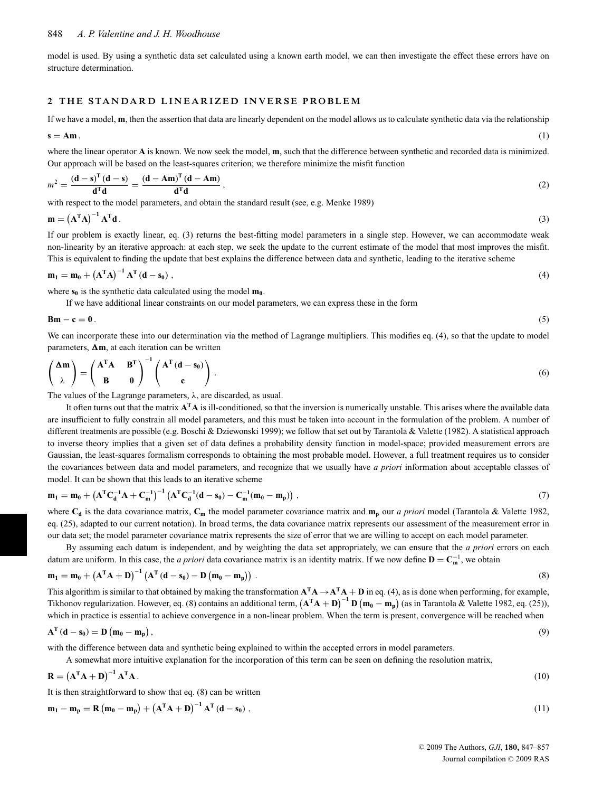model is used. By using a synthetic data set calculated using a known earth model, we can then investigate the effect these errors have on structure determination.

#### **2 THE STANDARD LINEARIZED INVERSE PROBLEM**

If we have a model, **m**, then the assertion that data are linearly dependent on the model allows us to calculate synthetic data via the relationship

$$
\mathbf{s} = \mathbf{A}\mathbf{m},\tag{1}
$$

where the linear operator **A** is known. We now seek the model, **m**, such that the difference between synthetic and recorded data is minimized. Our approach will be based on the least-squares criterion; we therefore minimize the misfit function

$$
m^{2} = \frac{\left(\mathbf{d} - \mathbf{s}\right)^{T}\left(\mathbf{d} - \mathbf{s}\right)}{\mathbf{d}^{T}\mathbf{d}} = \frac{\left(\mathbf{d} - \mathbf{A}\mathbf{m}\right)^{T}\left(\mathbf{d} - \mathbf{A}\mathbf{m}\right)}{\mathbf{d}^{T}\mathbf{d}},
$$
\n(2)

with respect to the model parameters, and obtain the standard result (see, e.g. Menke 1989)

$$
\mathbf{m} = \left(\mathbf{A}^{\mathrm{T}}\mathbf{A}\right)^{-1}\mathbf{A}^{\mathrm{T}}\mathbf{d}.
$$

If our problem is exactly linear, eq. (3) returns the best-fitting model parameters in a single step. However, we can accommodate weak non-linearity by an iterative approach: at each step, we seek the update to the current estimate of the model that most improves the misfit. This is equivalent to finding the update that best explains the difference between data and synthetic, leading to the iterative scheme

$$
\mathbf{m}_1 = \mathbf{m}_0 + \left(\mathbf{A}^{\mathrm{T}} \mathbf{A}\right)^{-1} \mathbf{A}^{\mathrm{T}} \left(\mathbf{d} - \mathbf{s}_0\right),\tag{4}
$$

where  $\mathbf{s}_0$  is the synthetic data calculated using the model  $\mathbf{m}_0$ .

If we have additional linear constraints on our model parameters, we can express these in the form

**Bm** – **c** = **0**. (5)

We can incorporate these into our determination via the method of Lagrange multipliers. This modifies eq. (4), so that the update to model parameters,  $\Delta m$ , at each iteration can be written

$$
\begin{pmatrix} \Delta m \\ \lambda \end{pmatrix} = \begin{pmatrix} A^{T}A & B^{T} \\ B & 0 \end{pmatrix}^{-1} \begin{pmatrix} A^{T}(d-s_{0}) \\ c \end{pmatrix}.
$$
 (6)

The values of the Lagrange parameters,  $\lambda$ , are discarded, as usual.

It often turns out that the matrix **ATA** is ill-conditioned, so that the inversion is numerically unstable. This arises where the available data are insufficient to fully constrain all model parameters, and this must be taken into account in the formulation of the problem. A number of different treatments are possible (e.g. Boschi & Dziewonski 1999); we follow that set out by Tarantola & Valette (1982). A statistical approach to inverse theory implies that a given set of data defines a probability density function in model-space; provided measurement errors are Gaussian, the least-squares formalism corresponds to obtaining the most probable model. However, a full treatment requires us to consider the covariances between data and model parameters, and recognize that we usually have *a priori* information about acceptable classes of model. It can be shown that this leads to an iterative scheme

$$
m_1 = m_0 + \left(A^T C_d^{-1} A + C_m^{-1}\right)^{-1} \left(A^T C_d^{-1} (d - s_0) - C_m^{-1} (m_0 - m_p)\right),\tag{7}
$$

where  $C_d$  is the data covariance matrix,  $C_m$  the model parameter covariance matrix and  $m_p$  our *a priori* model (Tarantola & Valette 1982, eq. (25), adapted to our current notation). In broad terms, the data covariance matrix represents our assessment of the measurement error in our data set; the model parameter covariance matrix represents the size of error that we are willing to accept on each model parameter.

By assuming each datum is independent, and by weighting the data set appropriately, we can ensure that the *a priori* errors on each datum are uniform. In this case, the *a priori* data covariance matrix is an identity matrix. If we now define  $D = C_m^{-1}$ , we obtain

$$
\mathbf{m}_1 = \mathbf{m}_0 + \left(\mathbf{A}^{\mathrm{T}}\mathbf{A} + \mathbf{D}\right)^{-1}\left(\mathbf{A}^{\mathrm{T}}\left(\mathbf{d} - \mathbf{s}_0\right) - \mathbf{D}\left(\mathbf{m}_0 - \mathbf{m}_p\right)\right).
$$
\n(8)

This algorithm is similar to that obtained by making the transformation  $A^T A \rightarrow A^T A + D$  in eq. (4), as is done when performing, for example, Tikhonov regularization. However, eq. (8) contains an additional term,  $(A^TA + D)^{-1}D(m_0 - m_p)$  (as in Tarantola & Valette 1982, eq. (25)), which in practice is essential to achieve convergence in a non-linear problem. When the term is present, convergence will be reached when

$$
A^{T} (d - s_0) = D (m_0 - m_p), \qquad (9)
$$

with the difference between data and synthetic being explained to within the accepted errors in model parameters.

A somewhat more intuitive explanation for the incorporation of this term can be seen on defining the resolution matrix,

$$
\mathbf{R} = \left(\mathbf{A}^{\mathrm{T}}\mathbf{A} + \mathbf{D}\right)^{-1}\mathbf{A}^{\mathrm{T}}\mathbf{A}.
$$
 (10)

It is then straightforward to show that eq. (8) can be written

$$
\mathbf{m}_1 - \mathbf{m}_p = \mathbf{R} \left( \mathbf{m}_0 - \mathbf{m}_p \right) + \left( \mathbf{A}^{\mathrm{T}} \mathbf{A} + \mathbf{D} \right)^{-1} \mathbf{A}^{\mathrm{T}} \left( \mathbf{d} - \mathbf{s}_0 \right), \tag{11}
$$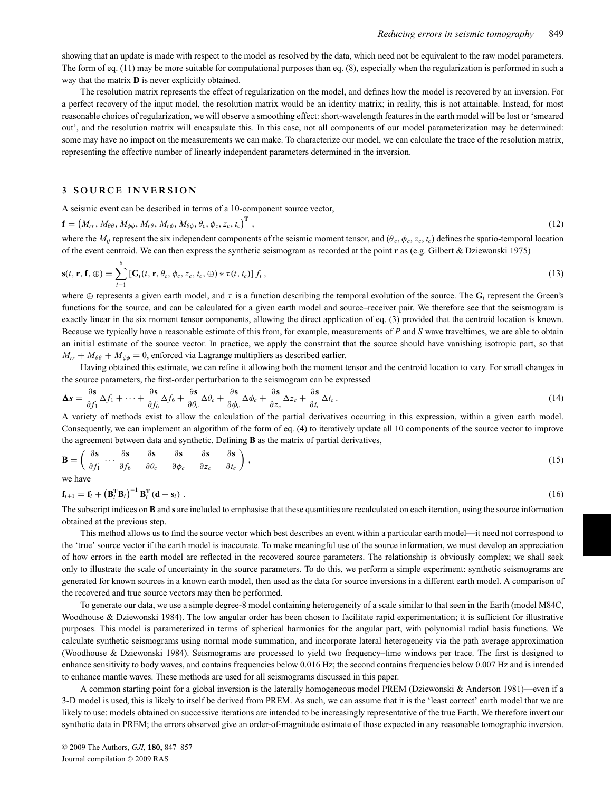showing that an update is made with respect to the model as resolved by the data, which need not be equivalent to the raw model parameters. The form of eq. (11) may be more suitable for computational purposes than eq. (8), especially when the regularization is performed in such a way that the matrix **D** is never explicitly obtained.

The resolution matrix represents the effect of regularization on the model, and defines how the model is recovered by an inversion. For a perfect recovery of the input model, the resolution matrix would be an identity matrix; in reality, this is not attainable. Instead, for most reasonable choices of regularization, we will observe a smoothing effect: short-wavelength features in the earth model will be lost or 'smeared out', and the resolution matrix will encapsulate this. In this case, not all components of our model parameterization may be determined: some may have no impact on the measurements we can make. To characterize our model, we can calculate the trace of the resolution matrix, representing the effective number of linearly independent parameters determined in the inversion.

#### **3 SOURCE INVERSION**

A seismic event can be described in terms of a 10-component source vector,

$$
\mathbf{f} = \left(M_{rr}, M_{\theta\theta}, M_{\phi\phi}, M_{r\theta}, M_{\theta\phi}, \theta_c, \phi_c, z_c, t_c\right)^{\mathrm{T}},\tag{12}
$$

where the  $M_{ij}$  represent the six independent components of the seismic moment tensor, and  $(\theta_c, \phi_c, z_c, t_c)$  defines the spatio-temporal location of the event centroid. We can then express the synthetic seismogram as recorded at the point **r** as (e.g. Gilbert & Dziewonski 1975)

$$
\mathbf{s}(t, \mathbf{r}, \mathbf{f}, \oplus) = \sum_{i=1}^{6} \left[ \mathbf{G}_i(t, \mathbf{r}, \theta_c, \phi_c, z_c, t_c, \oplus) * \tau(t, t_c) \right] f_i , \qquad (13)
$$

where  $\oplus$  represents a given earth model, and  $\tau$  is a function describing the temporal evolution of the source. The  $\mathbf{G}_i$  represent the Green's functions for the source, and can be calculated for a given earth model and source–receiver pair. We therefore see that the seismogram is exactly linear in the six moment tensor components, allowing the direct application of eq. (3) provided that the centroid location is known. Because we typically have a reasonable estimate of this from, for example, measurements of *P* and *S* wave traveltimes, we are able to obtain an initial estimate of the source vector. In practice, we apply the constraint that the source should have vanishing isotropic part, so that  $M_{rr} + M_{\theta\theta} + M_{\phi\phi} = 0$ , enforced via Lagrange multipliers as described earlier.

Having obtained this estimate, we can refine it allowing both the moment tensor and the centroid location to vary. For small changes in the source parameters, the first-order perturbation to the seismogram can be expressed

$$
\Delta s = \frac{\partial s}{\partial f_1} \Delta f_1 + \dots + \frac{\partial s}{\partial f_6} \Delta f_6 + \frac{\partial s}{\partial \theta_c} \Delta \theta_c + \frac{\partial s}{\partial \phi_c} \Delta \phi_c + \frac{\partial s}{\partial z_c} \Delta z_c + \frac{\partial s}{\partial t_c} \Delta t_c \,. \tag{14}
$$

A variety of methods exist to allow the calculation of the partial derivatives occurring in this expression, within a given earth model. Consequently, we can implement an algorithm of the form of eq. (4) to iteratively update all 10 components of the source vector to improve the agreement between data and synthetic. Defining **B** as the matrix of partial derivatives,

$$
\mathbf{B} = \left( \frac{\partial \mathbf{s}}{\partial f_1} \cdots \frac{\partial \mathbf{s}}{\partial f_6} \quad \frac{\partial \mathbf{s}}{\partial \theta_c} \quad \frac{\partial \mathbf{s}}{\partial \phi_c} \quad \frac{\partial \mathbf{s}}{\partial z_c} \quad \frac{\partial \mathbf{s}}{\partial z_c} \right),\tag{15}
$$

we have

$$
\mathbf{f}_{i+1} = \mathbf{f}_i + \left(\mathbf{B}_i^{\mathrm{T}} \mathbf{B}_i\right)^{-1} \mathbf{B}_i^{\mathrm{T}} \left(\mathbf{d} - \mathbf{s}_i\right). \tag{16}
$$

The subscript indices on **B** and **s** are included to emphasise that these quantities are recalculated on each iteration, using the source information obtained at the previous step.

This method allows us to find the source vector which best describes an event within a particular earth model—it need not correspond to the 'true' source vector if the earth model is inaccurate. To make meaningful use of the source information, we must develop an appreciation of how errors in the earth model are reflected in the recovered source parameters. The relationship is obviously complex; we shall seek only to illustrate the scale of uncertainty in the source parameters. To do this, we perform a simple experiment: synthetic seismograms are generated for known sources in a known earth model, then used as the data for source inversions in a different earth model. A comparison of the recovered and true source vectors may then be performed.

To generate our data, we use a simple degree-8 model containing heterogeneity of a scale similar to that seen in the Earth (model M84C, Woodhouse & Dziewonski 1984). The low angular order has been chosen to facilitate rapid experimentation; it is sufficient for illustrative purposes. This model is parameterized in terms of spherical harmonics for the angular part, with polynomial radial basis functions. We calculate synthetic seismograms using normal mode summation, and incorporate lateral heterogeneity via the path average approximation (Woodhouse & Dziewonski 1984). Seismograms are processed to yield two frequency–time windows per trace. The first is designed to enhance sensitivity to body waves, and contains frequencies below 0.016 Hz; the second contains frequencies below 0.007 Hz and is intended to enhance mantle waves. These methods are used for all seismograms discussed in this paper.

A common starting point for a global inversion is the laterally homogeneous model PREM (Dziewonski & Anderson 1981)—even if a 3-D model is used, this is likely to itself be derived from PREM. As such, we can assume that it is the 'least correct' earth model that we are likely to use: models obtained on successive iterations are intended to be increasingly representative of the true Earth. We therefore invert our synthetic data in PREM; the errors observed give an order-of-magnitude estimate of those expected in any reasonable tomographic inversion.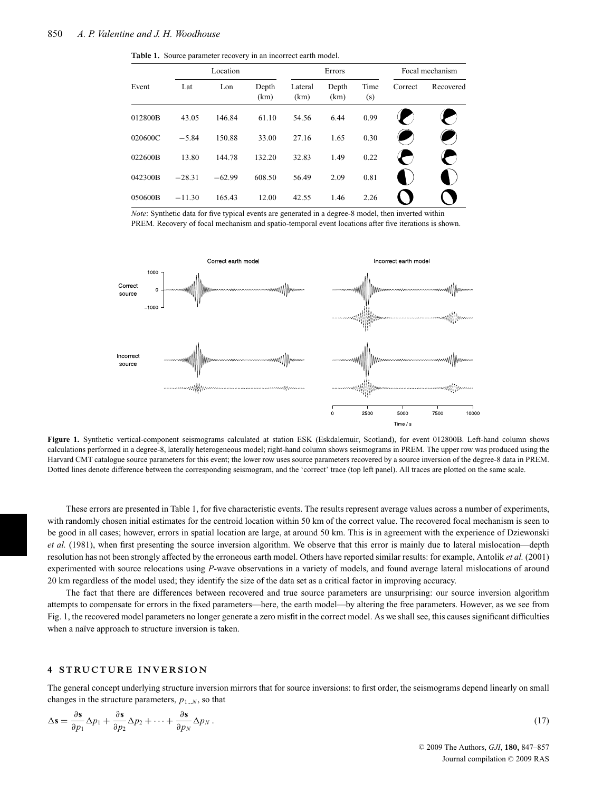**Table 1.** Source parameter recovery in an incorrect earth model.

|         |          | Location |               |                 | Errors        |             |         | Focal mechanism |
|---------|----------|----------|---------------|-----------------|---------------|-------------|---------|-----------------|
| Event   | Lat      | Lon      | Depth<br>(km) | Lateral<br>(km) | Depth<br>(km) | Time<br>(s) | Correct | Recovered       |
| 012800B | 43.05    | 146.84   | 61.10         | 54.56           | 6.44          | 0.99        |         |                 |
| 020600C | $-5.84$  | 150.88   | 33.00         | 27.16           | 1.65          | 0.30        |         |                 |
| 022600B | 13.80    | 144.78   | 132.20        | 32.83           | 1.49          | 0.22        |         |                 |
| 042300B | $-28.31$ | $-62.99$ | 608.50        | 56.49           | 2.09          | 0.81        |         |                 |
| 050600B | $-11.30$ | 165.43   | 12.00         | 42.55           | 1.46          | 2.26        |         |                 |

*Note*: Synthetic data for five typical events are generated in a degree-8 model, then inverted within PREM. Recovery of focal mechanism and spatio-temporal event locations after five iterations is shown.



**Figure 1.** Synthetic vertical-component seismograms calculated at station ESK (Eskdalemuir, Scotland), for event 012800B. Left-hand column shows calculations performed in a degree-8, laterally heterogeneous model; right-hand column shows seismograms in PREM. The upper row was produced using the Harvard CMT catalogue source parameters for this event; the lower row uses source parameters recovered by a source inversion of the degree-8 data in PREM. Dotted lines denote difference between the corresponding seismogram, and the 'correct' trace (top left panel). All traces are plotted on the same scale.

These errors are presented in Table 1, for five characteristic events. The results represent average values across a number of experiments, with randomly chosen initial estimates for the centroid location within 50 km of the correct value. The recovered focal mechanism is seen to be good in all cases; however, errors in spatial location are large, at around 50 km. This is in agreement with the experience of Dziewonski *et al.* (1981), when first presenting the source inversion algorithm. We observe that this error is mainly due to lateral mislocation—depth resolution has not been strongly affected by the erroneous earth model. Others have reported similar results: for example, Antolik *et al.* (2001) experimented with source relocations using *P*-wave observations in a variety of models, and found average lateral mislocations of around 20 km regardless of the model used; they identify the size of the data set as a critical factor in improving accuracy.

The fact that there are differences between recovered and true source parameters are unsurprising: our source inversion algorithm attempts to compensate for errors in the fixed parameters—here, the earth model—by altering the free parameters. However, as we see from Fig. 1, the recovered model parameters no longer generate a zero misfit in the correct model. As we shall see, this causes significant difficulties when a naïve approach to structure inversion is taken.

#### **4 STRUCTURE INVERSION**

The general concept underlying structure inversion mirrors that for source inversions: to first order, the seismograms depend linearly on small changes in the structure parameters,  $p_{1...N}$ , so that

$$
\Delta \mathbf{s} = \frac{\partial \mathbf{s}}{\partial p_1} \Delta p_1 + \frac{\partial \mathbf{s}}{\partial p_2} \Delta p_2 + \dots + \frac{\partial \mathbf{s}}{\partial p_N} \Delta p_N. \tag{17}
$$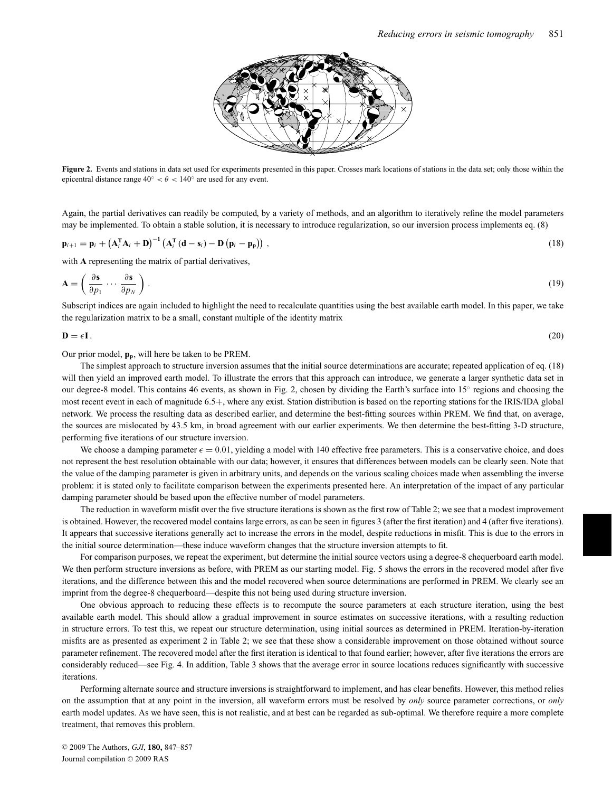

**Figure 2.** Events and stations in data set used for experiments presented in this paper. Crosses mark locations of stations in the data set; only those within the epicentral distance range  $40° < \theta < 140°$  are used for any event.

Again, the partial derivatives can readily be computed, by a variety of methods, and an algorithm to iteratively refine the model parameters may be implemented. To obtain a stable solution, it is necessary to introduce regularization, so our inversion process implements eq. (8)

$$
\mathbf{p}_{i+1} = \mathbf{p}_i + \left(\mathbf{A}_i^{\mathrm{T}} \mathbf{A}_i + \mathbf{D}\right)^{-1} \left(\mathbf{A}_i^{\mathrm{T}} \left(\mathbf{d} - \mathbf{s}_i\right) - \mathbf{D} \left(\mathbf{p}_i - \mathbf{p}_p\right)\right),\tag{18}
$$

with **A** representing the matrix of partial derivatives,

$$
\mathbf{A} = \left(\frac{\partial \mathbf{s}}{\partial p_1} \cdots \frac{\partial \mathbf{s}}{\partial p_N}\right). \tag{19}
$$

Subscript indices are again included to highlight the need to recalculate quantities using the best available earth model. In this paper, we take the regularization matrix to be a small, constant multiple of the identity matrix

 $\mathbf{D} = \epsilon \mathbf{I}$ . (20)

Our prior model, **pp**, will here be taken to be PREM.

The simplest approach to structure inversion assumes that the initial source determinations are accurate; repeated application of eq. (18) will then yield an improved earth model. To illustrate the errors that this approach can introduce, we generate a larger synthetic data set in our degree-8 model. This contains 46 events, as shown in Fig. 2, chosen by dividing the Earth's surface into 15◦ regions and choosing the most recent event in each of magnitude 6.5+, where any exist. Station distribution is based on the reporting stations for the IRIS/IDA global network. We process the resulting data as described earlier, and determine the best-fitting sources within PREM. We find that, on average, the sources are mislocated by 43.5 km, in broad agreement with our earlier experiments. We then determine the best-fitting 3-D structure, performing five iterations of our structure inversion.

We choose a damping parameter  $\epsilon = 0.01$ , yielding a model with 140 effective free parameters. This is a conservative choice, and does not represent the best resolution obtainable with our data; however, it ensures that differences between models can be clearly seen. Note that the value of the damping parameter is given in arbitrary units, and depends on the various scaling choices made when assembling the inverse problem: it is stated only to facilitate comparison between the experiments presented here. An interpretation of the impact of any particular damping parameter should be based upon the effective number of model parameters.

The reduction in waveform misfit over the five structure iterations is shown as the first row of Table 2; we see that a modest improvement is obtained. However, the recovered model contains large errors, as can be seen in figures 3 (after the first iteration) and 4 (after five iterations). It appears that successive iterations generally act to increase the errors in the model, despite reductions in misfit. This is due to the errors in the initial source determination—these induce waveform changes that the structure inversion attempts to fit.

For comparison purposes, we repeat the experiment, but determine the initial source vectors using a degree-8 chequerboard earth model. We then perform structure inversions as before, with PREM as our starting model. Fig. 5 shows the errors in the recovered model after five iterations, and the difference between this and the model recovered when source determinations are performed in PREM. We clearly see an imprint from the degree-8 chequerboard—despite this not being used during structure inversion.

One obvious approach to reducing these effects is to recompute the source parameters at each structure iteration, using the best available earth model. This should allow a gradual improvement in source estimates on successive iterations, with a resulting reduction in structure errors. To test this, we repeat our structure determination, using initial sources as determined in PREM. Iteration-by-iteration misfits are as presented as experiment 2 in Table 2; we see that these show a considerable improvement on those obtained without source parameter refinement. The recovered model after the first iteration is identical to that found earlier; however, after five iterations the errors are considerably reduced—see Fig. 4. In addition, Table 3 shows that the average error in source locations reduces significantly with successive iterations.

Performing alternate source and structure inversions is straightforward to implement, and has clear benefits. However, this method relies on the assumption that at any point in the inversion, all waveform errors must be resolved by *only* source parameter corrections, or *only* earth model updates. As we have seen, this is not realistic, and at best can be regarded as sub-optimal. We therefore require a more complete treatment, that removes this problem.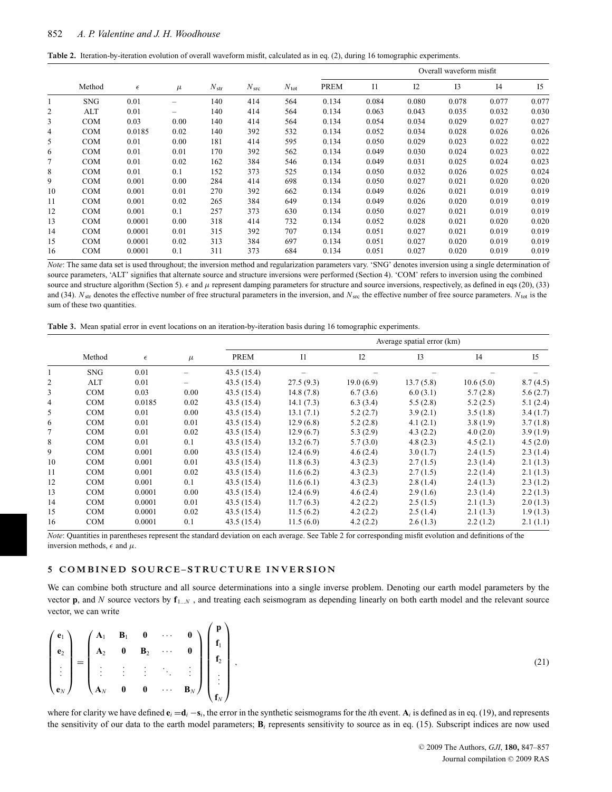|  |  |  | Table 2. Iteration-by-iteration evolution of overall waveform misfit, calculated as in eq. (2), during 16 tomographic experiments. |  |  |  |  |
|--|--|--|------------------------------------------------------------------------------------------------------------------------------------|--|--|--|--|
|--|--|--|------------------------------------------------------------------------------------------------------------------------------------|--|--|--|--|

|              |            |            |       |               |                  |               |             |                |       | Overall waveform misfit |                |       |
|--------------|------------|------------|-------|---------------|------------------|---------------|-------------|----------------|-------|-------------------------|----------------|-------|
|              | Method     | $\epsilon$ | $\mu$ | $N_{\rm str}$ | N <sub>src</sub> | $N_{\rm tot}$ | <b>PREM</b> | I <sub>1</sub> | I2    | I3                      | I <sub>4</sub> | I5    |
| $\mathbf{1}$ | <b>SNG</b> | 0.01       | -     | 140           | 414              | 564           | 0.134       | 0.084          | 0.080 | 0.078                   | 0.077          | 0.077 |
| 2            | ALT        | 0.01       |       | 140           | 414              | 564           | 0.134       | 0.063          | 0.043 | 0.035                   | 0.032          | 0.030 |
| 3            | <b>COM</b> | 0.03       | 0.00  | 140           | 414              | 564           | 0.134       | 0.054          | 0.034 | 0.029                   | 0.027          | 0.027 |
| 4            | <b>COM</b> | 0.0185     | 0.02  | 140           | 392              | 532           | 0.134       | 0.052          | 0.034 | 0.028                   | 0.026          | 0.026 |
| 5            | <b>COM</b> | 0.01       | 0.00  | 181           | 414              | 595           | 0.134       | 0.050          | 0.029 | 0.023                   | 0.022          | 0.022 |
| 6            | <b>COM</b> | 0.01       | 0.01  | 170           | 392              | 562           | 0.134       | 0.049          | 0.030 | 0.024                   | 0.023          | 0.022 |
| 7            | <b>COM</b> | 0.01       | 0.02  | 162           | 384              | 546           | 0.134       | 0.049          | 0.031 | 0.025                   | 0.024          | 0.023 |
| 8            | <b>COM</b> | 0.01       | 0.1   | 152           | 373              | 525           | 0.134       | 0.050          | 0.032 | 0.026                   | 0.025          | 0.024 |
| 9            | <b>COM</b> | 0.001      | 0.00  | 284           | 414              | 698           | 0.134       | 0.050          | 0.027 | 0.021                   | 0.020          | 0.020 |
| 10           | <b>COM</b> | 0.001      | 0.01  | 270           | 392              | 662           | 0.134       | 0.049          | 0.026 | 0.021                   | 0.019          | 0.019 |
| 11           | <b>COM</b> | 0.001      | 0.02  | 265           | 384              | 649           | 0.134       | 0.049          | 0.026 | 0.020                   | 0.019          | 0.019 |
| 12           | <b>COM</b> | 0.001      | 0.1   | 257           | 373              | 630           | 0.134       | 0.050          | 0.027 | 0.021                   | 0.019          | 0.019 |
| 13           | <b>COM</b> | 0.0001     | 0.00  | 318           | 414              | 732           | 0.134       | 0.052          | 0.028 | 0.021                   | 0.020          | 0.020 |
| 14           | <b>COM</b> | 0.0001     | 0.01  | 315           | 392              | 707           | 0.134       | 0.051          | 0.027 | 0.021                   | 0.019          | 0.019 |
| 15           | <b>COM</b> | 0.0001     | 0.02  | 313           | 384              | 697           | 0.134       | 0.051          | 0.027 | 0.020                   | 0.019          | 0.019 |
| 16           | <b>COM</b> | 0.0001     | 0.1   | 311           | 373              | 684           | 0.134       | 0.051          | 0.027 | 0.020                   | 0.019          | 0.019 |

*Note*: The same data set is used throughout; the inversion method and regularization parameters vary. 'SNG' denotes inversion using a single determination of source parameters, 'ALT' signifies that alternate source and structure inversions were performed (Section 4). 'COM' refers to inversion using the combined source and structure algorithm (Section 5).  $\epsilon$  and  $\mu$  represent damping parameters for structure and source inversions, respectively, as defined in eqs (20), (33) and (34).  $N_{\rm str}$  denotes the effective number of free structural parameters in the inversion, and  $N_{\rm src}$  the effective number of free source parameters.  $N_{\rm tot}$  is the sum of these two quantities.

|  |  | Table 3. Mean spatial error in event locations on an iteration-by-iteration basis during 16 tomographic experiments. |  |  |  |  |  |  |  |  |  |
|--|--|----------------------------------------------------------------------------------------------------------------------|--|--|--|--|--|--|--|--|--|
|--|--|----------------------------------------------------------------------------------------------------------------------|--|--|--|--|--|--|--|--|--|

|    |            |            |       |            |                |           | Average spatial error (km) |                |                |
|----|------------|------------|-------|------------|----------------|-----------|----------------------------|----------------|----------------|
|    | Method     | $\epsilon$ | $\mu$ | PREM       | I <sub>1</sub> | 12        | I <sub>3</sub>             | I <sub>4</sub> | I <sub>5</sub> |
| 1  | <b>SNG</b> | 0.01       |       | 43.5(15.4) |                |           |                            |                |                |
| 2  | ALT        | 0.01       |       | 43.5(15.4) | 27.5(9.3)      | 19.0(6.9) | 13.7(5.8)                  | 10.6(5.0)      | 8.7(4.5)       |
| 3  | <b>COM</b> | 0.03       | 0.00  | 43.5(15.4) | 14.8(7.8)      | 6.7(3.6)  | 6.0(3.1)                   | 5.7(2.8)       | 5.6(2.7)       |
| 4  | <b>COM</b> | 0.0185     | 0.02  | 43.5(15.4) | 14.1(7.3)      | 6.3(3.4)  | 5.5(2.8)                   | 5.2(2.5)       | 5.1(2.4)       |
| 5  | <b>COM</b> | 0.01       | 0.00  | 43.5(15.4) | 13.1(7.1)      | 5.2(2.7)  | 3.9(2.1)                   | 3.5(1.8)       | 3.4(1.7)       |
| 6  | <b>COM</b> | 0.01       | 0.01  | 43.5(15.4) | 12.9(6.8)      | 5.2(2.8)  | 4.1(2.1)                   | 3.8(1.9)       | 3.7(1.8)       |
| 7  | <b>COM</b> | 0.01       | 0.02  | 43.5(15.4) | 12.9(6.7)      | 5.3(2.9)  | 4.3(2.2)                   | 4.0(2.0)       | 3.9(1.9)       |
| 8  | <b>COM</b> | 0.01       | 0.1   | 43.5(15.4) | 13.2(6.7)      | 5.7(3.0)  | 4.8(2.3)                   | 4.5(2.1)       | 4.5(2.0)       |
| 9  | <b>COM</b> | 0.001      | 0.00  | 43.5(15.4) | 12.4(6.9)      | 4.6(2.4)  | 3.0(1.7)                   | 2.4(1.5)       | 2.3(1.4)       |
| 10 | <b>COM</b> | 0.001      | 0.01  | 43.5(15.4) | 11.8(6.3)      | 4.3(2.3)  | 2.7(1.5)                   | 2.3(1.4)       | 2.1(1.3)       |
| 11 | <b>COM</b> | 0.001      | 0.02  | 43.5(15.4) | 11.6(6.2)      | 4.3(2.3)  | 2.7(1.5)                   | 2.2(1.4)       | 2.1(1.3)       |
| 12 | <b>COM</b> | 0.001      | 0.1   | 43.5(15.4) | 11.6(6.1)      | 4.3(2.3)  | 2.8(1.4)                   | 2.4(1.3)       | 2.3(1.2)       |
| 13 | <b>COM</b> | 0.0001     | 0.00  | 43.5(15.4) | 12.4(6.9)      | 4.6(2.4)  | 2.9(1.6)                   | 2.3(1.4)       | 2.2(1.3)       |
| 14 | <b>COM</b> | 0.0001     | 0.01  | 43.5(15.4) | 11.7(6.3)      | 4.2(2.2)  | 2.5(1.5)                   | 2.1(1.3)       | 2.0(1.3)       |
| 15 | <b>COM</b> | 0.0001     | 0.02  | 43.5(15.4) | 11.5(6.2)      | 4.2(2.2)  | 2.5(1.4)                   | 2.1(1.3)       | 1.9(1.3)       |
| 16 | <b>COM</b> | 0.0001     | 0.1   | 43.5(15.4) | 11.5(6.0)      | 4.2(2.2)  | 2.6(1.3)                   | 2.2(1.2)       | 2.1(1.1)       |

*Note*: Quantities in parentheses represent the standard deviation on each average. See Table 2 for corresponding misfit evolution and definitions of the inversion methods,  $\epsilon$  and  $\mu$ .

### **5 COMB INED SOURCE –STRUCTURE INVERS ION**

We can combine both structure and all source determinations into a single inverse problem. Denoting our earth model parameters by the vector **p**, and *N* source vectors by **f**<sup>1</sup>...*<sup>N</sup>* , and treating each seismogram as depending linearly on both earth model and the relevant source vector, we can write

|  |  |  | $\begin{pmatrix} \mathbf{e}_1 \\ \mathbf{e}_2 \\ \vdots \\ \mathbf{e}_N \end{pmatrix} = \begin{pmatrix} \mathbf{A}_1 & \mathbf{B}_1 & \mathbf{0} & \cdots & \mathbf{0} \\ \mathbf{A}_2 & \mathbf{0} & \mathbf{B}_2 & \cdots & \mathbf{0} \\ \vdots & \vdots & \vdots & \ddots & \vdots \\ \mathbf{A}_N & \mathbf{0} & \mathbf{0} & \cdots & \mathbf{B}_N \end{pmatrix} \begin{pmatrix} \mathbf{p} \\ \math$ |  |
|--|--|--|-------------------------------------------------------------------------------------------------------------------------------------------------------------------------------------------------------------------------------------------------------------------------------------------------------------------------------------------------------------------------------------------------------------|--|

,  $(21)$ 

where for clarity we have defined  $\mathbf{e}_i = \mathbf{d}_i - \mathbf{s}_i$ , the error in the synthetic seismograms for the *i*th event.  $\mathbf{A}_i$  is defined as in eq. (19), and represents the sensitivity of our data to the earth model parameters; **B***<sup>i</sup>* represents sensitivity to source as in eq. (15). Subscript indices are now used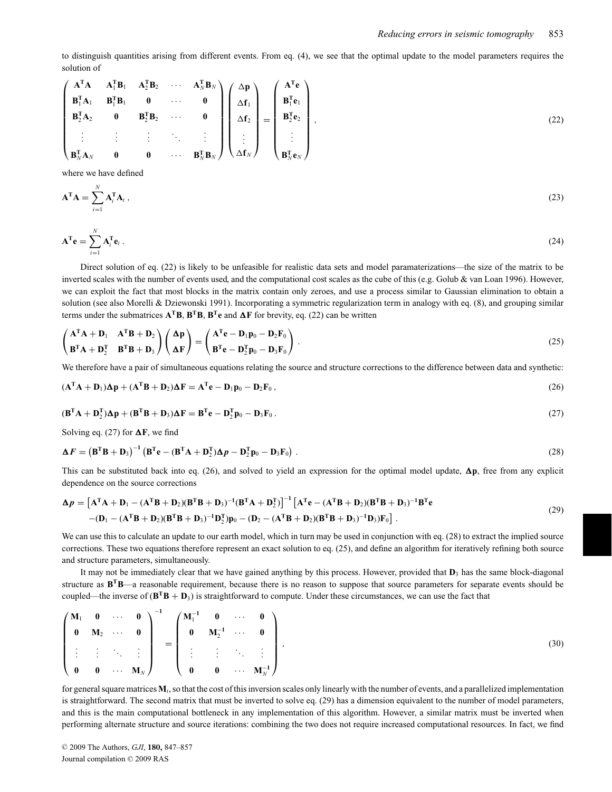to distinguish quantities arising from different events. From eq. (4), we see that the optimal update to the model parameters requires the solution of

$$
\begin{pmatrix}\n\mathbf{A}^{\mathsf{T}}\mathbf{A} & \mathbf{A}_1^{\mathsf{T}}\mathbf{B}_1 & \mathbf{A}_2^{\mathsf{T}}\mathbf{B}_2 & \cdots & \mathbf{A}_N^{\mathsf{T}}\mathbf{B}_N \\
\mathbf{B}_1^{\mathsf{T}}\mathbf{A}_1 & \mathbf{B}_1^{\mathsf{T}}\mathbf{B}_1 & \mathbf{0} & \cdots & \mathbf{0} \\
\mathbf{B}_2^{\mathsf{T}}\mathbf{A}_2 & \mathbf{0} & \mathbf{B}_2^{\mathsf{T}}\mathbf{B}_2 & \cdots & \mathbf{0} \\
\vdots & \vdots & \ddots & \vdots \\
\mathbf{B}_N^{\mathsf{T}}\mathbf{A}_N & \mathbf{0} & \mathbf{0} & \cdots & \mathbf{B}_N^{\mathsf{T}}\mathbf{B}_N\n\end{pmatrix}\n\begin{pmatrix}\n\Delta \mathbf{p} \\
\Delta \mathbf{f}_1 \\
\Delta \mathbf{f}_2 \\
\vdots \\
\Delta \mathbf{f}_N\n\end{pmatrix} = \begin{pmatrix}\n\mathbf{A}^{\mathsf{T}}\mathbf{e} \\
\mathbf{B}_1^{\mathsf{T}}\mathbf{e}_1 \\
\mathbf{B}_2^{\mathsf{T}}\mathbf{e}_2 \\
\vdots \\
\mathbf{B}_N^{\mathsf{T}}\mathbf{e}_N\n\end{pmatrix},
$$
\n(22)

where we have defined

$$
\mathbf{A}^{\mathrm{T}}\mathbf{A} = \sum_{i=1}^{N} \mathbf{A}_i^{\mathrm{T}} \mathbf{A}_i , \qquad (23)
$$

$$
\mathbf{A}^{\mathrm{T}}\mathbf{e} = \sum_{i=1}^{N} \mathbf{A}_i^{\mathrm{T}} \mathbf{e}_i \,. \tag{24}
$$

Direct solution of eq. (22) is likely to be unfeasible for realistic data sets and model paramaterizations—the size of the matrix to be inverted scales with the number of events used, and the computational cost scales as the cube of this (e.g. Golub & van Loan 1996). However, we can exploit the fact that most blocks in the matrix contain only zeroes, and use a process similar to Gaussian elimination to obtain a solution (see also Morelli & Dziewonski 1991). Incorporating a symmetric regularization term in analogy with eq. (8), and grouping similar terms under the submatrices  $A^T B$ ,  $B^T B$ ,  $B^T e$  and  $\Delta F$  for brevity, eq. (22) can be written

$$
\begin{pmatrix}\nA^{\mathrm{T}}A + D_1 & A^{\mathrm{T}}B + D_2 \\
B^{\mathrm{T}}A + D_2^{\mathrm{T}} & B^{\mathrm{T}}B + D_3\n\end{pmatrix}\n\begin{pmatrix}\n\Delta p \\
\Delta F\n\end{pmatrix} =\n\begin{pmatrix}\nA^{\mathrm{T}}e - D_1p_0 - D_2F_0 \\
B^{\mathrm{T}}e - D_2^{\mathrm{T}}p_0 - D_3F_0\n\end{pmatrix}.
$$
\n(25)

We therefore have a pair of simultaneous equations relating the source and structure corrections to the difference between data and synthetic:

$$
(\mathbf{A}^{\mathrm{T}}\mathbf{A} + \mathbf{D}_1)\mathbf{\Delta}\mathbf{p} + (\mathbf{A}^{\mathrm{T}}\mathbf{B} + \mathbf{D}_2)\mathbf{\Delta}\mathbf{F} = \mathbf{A}^{\mathrm{T}}\mathbf{e} - \mathbf{D}_1\mathbf{p}_0 - \mathbf{D}_2\mathbf{F}_0,
$$
\n(26)

$$
(\mathbf{B}^{\mathrm{T}}\mathbf{A} + \mathbf{D}_2^{\mathrm{T}})\mathbf{\Delta p} + (\mathbf{B}^{\mathrm{T}}\mathbf{B} + \mathbf{D}_3)\mathbf{\Delta F} = \mathbf{B}^{\mathrm{T}}\mathbf{e} - \mathbf{D}_2^{\mathrm{T}}\mathbf{p}_0 - \mathbf{D}_3\mathbf{F}_0. \tag{27}
$$

Solving eq. (27) for  $\Delta F$ , we find

$$
\Delta F = \left(\mathbf{B}^{\mathrm{T}}\mathbf{B} + \mathbf{D}_3\right)^{-1} \left(\mathbf{B}^{\mathrm{T}}\mathbf{e} - (\mathbf{B}^{\mathrm{T}}\mathbf{A} + \mathbf{D}_2^{\mathrm{T}})\Delta p - \mathbf{D}_2^{\mathrm{T}}\mathbf{p}_0 - \mathbf{D}_3\mathbf{F}_0\right).
$$
 (28)

This can be substituted back into eq. (26), and solved to yield an expression for the optimal model update,  $\Delta p$ , free from any explicit dependence on the source corrections

$$
\Delta p = \left[A^{\mathrm{T}}A + D_1 - (A^{\mathrm{T}}B + D_2)(B^{\mathrm{T}}B + D_3)^{-1}(B^{\mathrm{T}}A + D_2^{\mathrm{T}})\right]^{-1}\left[A^{\mathrm{T}}e - (A^{\mathrm{T}}B + D_2)(B^{\mathrm{T}}B + D_3)^{-1}B^{\mathrm{T}}e - (D_1 - (A^{\mathrm{T}}B + D_2)(B^{\mathrm{T}}B + D_3)^{-1}D_2^{\mathrm{T}}p_0 - (D_2 - (A^{\mathrm{T}}B + D_2)(B^{\mathrm{T}}B + D_3)^{-1}D_3^{\mathrm{T}}p_0\right].
$$
\n(29)

We can use this to calculate an update to our earth model, which in turn may be used in conjunction with eq. (28) to extract the implied source corrections. These two equations therefore represent an exact solution to eq. (25), and define an algorithm for iteratively refining both source and structure parameters, simultaneously.

It may not be immediately clear that we have gained anything by this process. However, provided that **D**<sup>3</sup> has the same block-diagonal structure as **BTB**—a reasonable requirement, because there is no reason to suppose that source parameters for separate events should be coupled—the inverse of  $(B^T B + D_3)$  is straightforward to compute. Under these circumstances, we can use the fact that

|  |  |  | $\left( \begin{matrix} \mathbf{M}_1 & \mathbf{0} & \cdots & \mathbf{0} \ \mathbf{0} & \mathbf{M}_2 & \cdots & \mathbf{0} \ \vdots & \vdots & \ddots & \vdots \ \mathbf{0} & \mathbf{0} & \cdots & \mathbf{M}_N \ \end{matrix} \right)^{-1} = \left( \begin{matrix} \mathbf{M}_1^{-1} & \mathbf{0} & \cdots & \mathbf{0} \ \mathbf{0} & \mathbf{M}_2^{-1} & \cdots & \mathbf{0} \ \vdots & \vdots & \ddots & \vdots \ \mathbf{0} & \mathbf{0} & \cdots & \mathbf{M}_$ |  |
|--|--|--|----------------------------------------------------------------------------------------------------------------------------------------------------------------------------------------------------------------------------------------------------------------------------------------------------------------------------------------------------------------------------------------------------------------------------------------------------------------------|--|
|  |  |  |                                                                                                                                                                                                                                                                                                                                                                                                                                                                      |  |

for general square matrices  $M_i$ , so that the cost of this inversion scales only linearly with the number of events, and a parallelized implementation is straightforward. The second matrix that must be inverted to solve eq. (29) has a dimension equivalent to the number of model parameters, and this is the main computational bottleneck in any implementation of this algorithm. However, a similar matrix must be inverted when performing alternate structure and source iterations: combining the two does not require increased computational resources. In fact, we find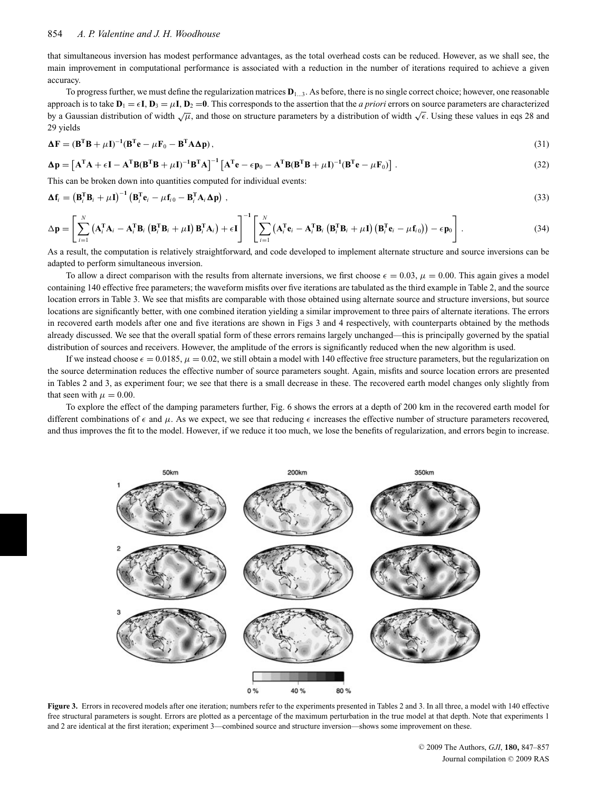that simultaneous inversion has modest performance advantages, as the total overhead costs can be reduced. However, as we shall see, the main improvement in computational performance is associated with a reduction in the number of iterations required to achieve a given accuracy.

To progress further, we must define the regularization matrices **D**<sup>1</sup>...3. As before, there is no single correct choice; however, one reasonable approach is to take  $D_1 = \epsilon I$ ,  $D_3 = \mu I$ ,  $D_2 = 0$ . This corresponds to the assertion that the *a priori* errors on source parameters are characterized by a Gaussian distribution of width  $\sqrt{\mu}$ , and those on structure parameters by a distribution of width  $\sqrt{\epsilon}$ . Using these values in eqs 28 and 29 yields

$$
\Delta \mathbf{F} = (\mathbf{B}^{\mathrm{T}} \mathbf{B} + \mu \mathbf{I})^{-1} (\mathbf{B}^{\mathrm{T}} \mathbf{e} - \mu \mathbf{F}_0 - \mathbf{B}^{\mathrm{T}} \mathbf{A} \Delta \mathbf{p}),
$$
\n(31)

$$
\Delta p = \left[ \mathbf{A}^{\mathrm{T}} \mathbf{A} + \epsilon \mathbf{I} - \mathbf{A}^{\mathrm{T}} \mathbf{B} (\mathbf{B}^{\mathrm{T}} \mathbf{B} + \mu \mathbf{I})^{-1} \mathbf{B}^{\mathrm{T}} \mathbf{A} \right]^{-1} \left[ \mathbf{A}^{\mathrm{T}} \mathbf{e} - \epsilon \mathbf{p}_0 - \mathbf{A}^{\mathrm{T}} \mathbf{B} (\mathbf{B}^{\mathrm{T}} \mathbf{B} + \mu \mathbf{I})^{-1} (\mathbf{B}^{\mathrm{T}} \mathbf{e} - \mu \mathbf{F}_0) \right].
$$
 (32)

This can be broken down into quantities computed for individual events:

$$
\Delta \mathbf{f}_i = \left(\mathbf{B}_i^{\mathrm{T}} \mathbf{B}_i + \mu \mathbf{I}\right)^{-1} \left(\mathbf{B}_i^{\mathrm{T}} \mathbf{e}_i - \mu \mathbf{f}_{i0} - \mathbf{B}_i^{\mathrm{T}} \mathbf{A}_i \Delta \mathbf{p}\right) , \tag{33}
$$

$$
\Delta \mathbf{p} = \left[ \sum_{i=1}^{N} \left( \mathbf{A}_{i}^{T} \mathbf{A}_{i} - \mathbf{A}_{i}^{T} \mathbf{B}_{i} \left( \mathbf{B}_{i}^{T} \mathbf{B}_{i} + \mu \mathbf{I} \right) \mathbf{B}_{i}^{T} \mathbf{A}_{i} \right) + \epsilon \mathbf{I} \right]^{-1} \left[ \sum_{i=1}^{N} \left( \mathbf{A}_{i}^{T} \mathbf{e}_{i} - \mathbf{A}_{i}^{T} \mathbf{B}_{i} \left( \mathbf{B}_{i}^{T} \mathbf{B}_{i} + \mu \mathbf{I} \right) \left( \mathbf{B}_{i}^{T} \mathbf{e}_{i} - \mu \mathbf{f}_{i0} \right) \right) - \epsilon \mathbf{p}_{0} \right].
$$
\n(34)

As a result, the computation is relatively straightforward, and code developed to implement alternate structure and source inversions can be adapted to perform simultaneous inversion.

To allow a direct comparison with the results from alternate inversions, we first choose  $\epsilon = 0.03$ ,  $\mu = 0.00$ . This again gives a model containing 140 effective free parameters; the waveform misfits over five iterations are tabulated as the third example in Table 2, and the source location errors in Table 3. We see that misfits are comparable with those obtained using alternate source and structure inversions, but source locations are significantly better, with one combined iteration yielding a similar improvement to three pairs of alternate iterations. The errors in recovered earth models after one and five iterations are shown in Figs 3 and 4 respectively, with counterparts obtained by the methods already discussed. We see that the overall spatial form of these errors remains largely unchanged—this is principally governed by the spatial distribution of sources and receivers. However, the amplitude of the errors is significantly reduced when the new algorithm is used.

If we instead choose  $\epsilon = 0.0185$ ,  $\mu = 0.02$ , we still obtain a model with 140 effective free structure parameters, but the regularization on the source determination reduces the effective number of source parameters sought. Again, misfits and source location errors are presented in Tables 2 and 3, as experiment four; we see that there is a small decrease in these. The recovered earth model changes only slightly from that seen with  $\mu = 0.00$ .

To explore the effect of the damping parameters further, Fig. 6 shows the errors at a depth of 200 km in the recovered earth model for different combinations of  $\epsilon$  and  $\mu$ . As we expect, we see that reducing  $\epsilon$  increases the effective number of structure parameters recovered, and thus improves the fit to the model. However, if we reduce it too much, we lose the benefits of regularization, and errors begin to increase.



**Figure 3.** Errors in recovered models after one iteration; numbers refer to the experiments presented in Tables 2 and 3. In all three, a model with 140 effective free structural parameters is sought. Errors are plotted as a percentage of the maximum perturbation in the true model at that depth. Note that experiments 1 and 2 are identical at the first iteration; experiment 3—combined source and structure inversion—shows some improvement on these.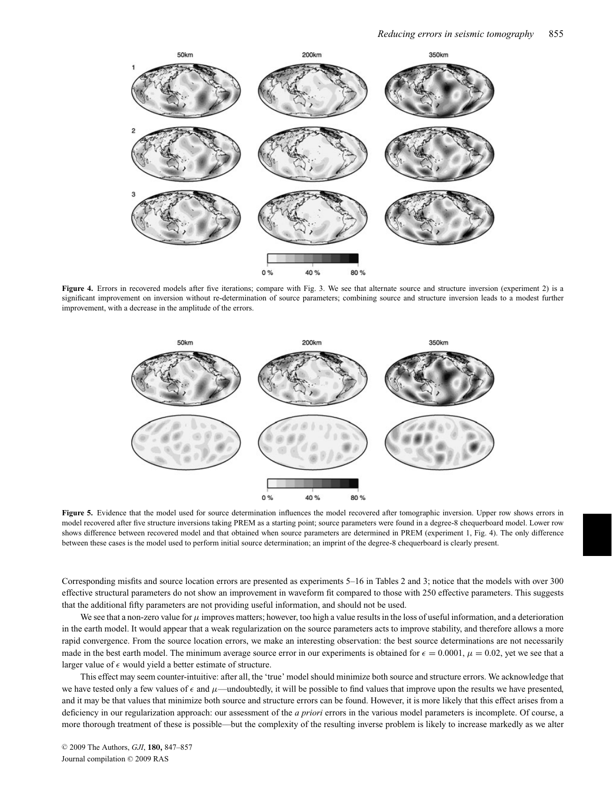

Figure 4. Errors in recovered models after five iterations; compare with Fig. 3. We see that alternate source and structure inversion (experiment 2) is a significant improvement on inversion without re-determination of source parameters; combining source and structure inversion leads to a modest further improvement, with a decrease in the amplitude of the errors.



**Figure 5.** Evidence that the model used for source determination influences the model recovered after tomographic inversion. Upper row shows errors in model recovered after five structure inversions taking PREM as a starting point; source parameters were found in a degree-8 chequerboard model. Lower row shows difference between recovered model and that obtained when source parameters are determined in PREM (experiment 1, Fig. 4). The only difference between these cases is the model used to perform initial source determination; an imprint of the degree-8 chequerboard is clearly present.

Corresponding misfits and source location errors are presented as experiments 5–16 in Tables 2 and 3; notice that the models with over 300 effective structural parameters do not show an improvement in waveform fit compared to those with 250 effective parameters. This suggests that the additional fifty parameters are not providing useful information, and should not be used.

We see that a non-zero value for  $\mu$  improves matters; however, too high a value results in the loss of useful information, and a deterioration in the earth model. It would appear that a weak regularization on the source parameters acts to improve stability, and therefore allows a more rapid convergence. From the source location errors, we make an interesting observation: the best source determinations are not necessarily made in the best earth model. The minimum average source error in our experiments is obtained for  $\epsilon = 0.0001$ ,  $\mu = 0.02$ , yet we see that a larger value of  $\epsilon$  would yield a better estimate of structure.

This effect may seem counter-intuitive: after all, the 'true' model should minimize both source and structure errors. We acknowledge that we have tested only a few values of  $\epsilon$  and  $\mu$ —undoubtedly, it will be possible to find values that improve upon the results we have presented, and it may be that values that minimize both source and structure errors can be found. However, it is more likely that this effect arises from a deficiency in our regularization approach: our assessment of the *a priori* errors in the various model parameters is incomplete. Of course, a more thorough treatment of these is possible—but the complexity of the resulting inverse problem is likely to increase markedly as we alter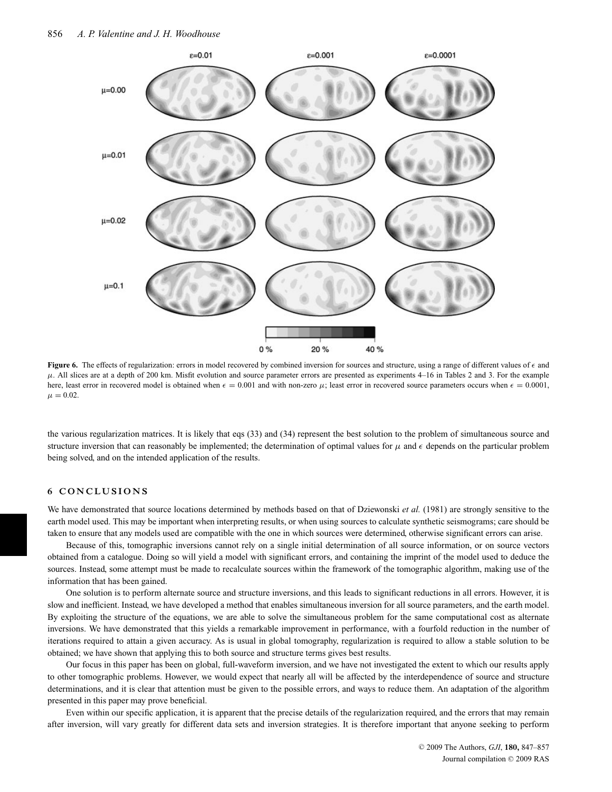

**Figure 6.** The effects of regularization: errors in model recovered by combined inversion for sources and structure, using a range of different values of  $\epsilon$  and  $\mu$ . All slices are at a depth of 200 km. Misfit evolution and source parameter errors are presented as experiments 4–16 in Tables 2 and 3. For the example here, least error in recovered model is obtained when  $\epsilon = 0.001$  and with non-zero  $\mu$ ; least error in recovered source parameters occurs when  $\epsilon = 0.0001$ ,  $\mu = 0.02$ .

the various regularization matrices. It is likely that eqs (33) and (34) represent the best solution to the problem of simultaneous source and structure inversion that can reasonably be implemented; the determination of optimal values for  $\mu$  and  $\epsilon$  depends on the particular problem being solved, and on the intended application of the results.

# **6 CONCLUSIONS**

We have demonstrated that source locations determined by methods based on that of Dziewonski *et al.* (1981) are strongly sensitive to the earth model used. This may be important when interpreting results, or when using sources to calculate synthetic seismograms; care should be taken to ensure that any models used are compatible with the one in which sources were determined, otherwise significant errors can arise.

Because of this, tomographic inversions cannot rely on a single initial determination of all source information, or on source vectors obtained from a catalogue. Doing so will yield a model with significant errors, and containing the imprint of the model used to deduce the sources. Instead, some attempt must be made to recalculate sources within the framework of the tomographic algorithm, making use of the information that has been gained.

One solution is to perform alternate source and structure inversions, and this leads to significant reductions in all errors. However, it is slow and inefficient. Instead, we have developed a method that enables simultaneous inversion for all source parameters, and the earth model. By exploiting the structure of the equations, we are able to solve the simultaneous problem for the same computational cost as alternate inversions. We have demonstrated that this yields a remarkable improvement in performance, with a fourfold reduction in the number of iterations required to attain a given accuracy. As is usual in global tomography, regularization is required to allow a stable solution to be obtained; we have shown that applying this to both source and structure terms gives best results.

Our focus in this paper has been on global, full-waveform inversion, and we have not investigated the extent to which our results apply to other tomographic problems. However, we would expect that nearly all will be affected by the interdependence of source and structure determinations, and it is clear that attention must be given to the possible errors, and ways to reduce them. An adaptation of the algorithm presented in this paper may prove beneficial.

Even within our specific application, it is apparent that the precise details of the regularization required, and the errors that may remain after inversion, will vary greatly for different data sets and inversion strategies. It is therefore important that anyone seeking to perform